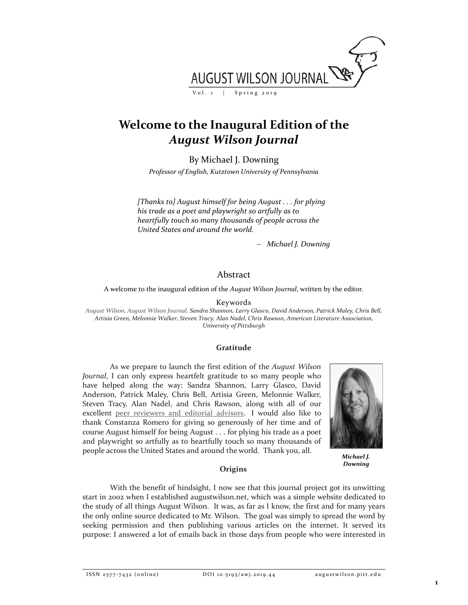

# **Welcome to the Inaugural Edition of the**  *August Wilson Journal*

By Michael J. Downing

*Professor of English, Kutztown University of Pennsylvania*

*[Thanks to] August himself for being August . . . for plying his trade as a poet and playwright so artfully as to heartfully touch so many thousands of people across the United States and around the world.*

− *Michael J. Downing*

# Abstract

A welcome to the inaugural edition of the *August Wilson Journal*, written by the editor.

Keywords

*August Wilson, August Wilson Journal, Sandra Shannon, Larry Glasco, David Anderson, Patrick Maley, Chris Bell, Artisia Green, Melonnie Walker, Steven Tracy, Alan Nadel, Chris Rawson, American Literature Association, University of Pittsburgh*

## **Gratitude**

As we prepare to launch the first edition of the *August Wilson Journal*, I can only express heartfelt gratitude to so many people who have helped along the way: Sandra Shannon, Larry Glasco, David Anderson, Patrick Maley, Chris Bell, Artisia Green, Melonnie Walker, Steven Tracy, Alan Nadel, and Chris Rawson, along with all of our excellent [peer reviewers and editorial advisors.](http://augustwilson.pitt.edu/ojs/augustwilson/about/editorialTeam) I would also like to thank Constanza Romero for giving so generously of her time and of course August himself for being August . . . for plying his trade as a poet and playwright so artfully as to heartfully touch so many thousands of people across the United States and around the world. Thank you, all.



*Michael J. Downing*

## **Origins**

With the benefit of hindsight, I now see that this journal project got its unwitting start in 2002 when I established augustwilson.net, which was a simple website dedicated to the study of all things August Wilson. It was, as far as I know, the first and for many years the only online source dedicated to Mr. Wilson. The goal was simply to spread the word by seeking permission and then publishing various articles on the internet. It served its purpose: I answered a lot of emails back in those days from people who were interested in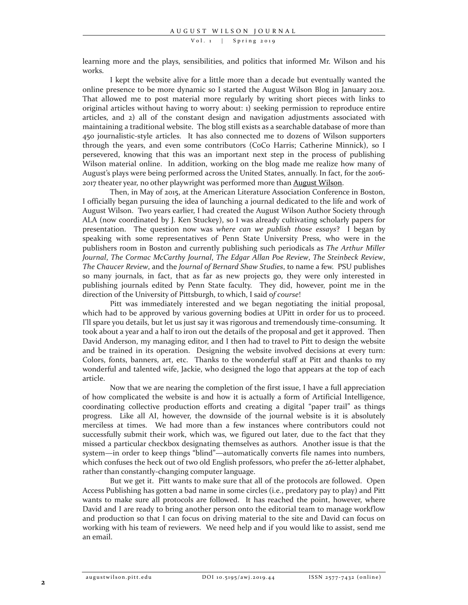Vol. 1 | Spring 2019

learning more and the plays, sensibilities, and politics that informed Mr. Wilson and his works.

I kept the website alive for a little more than a decade but eventually wanted the online presence to be more dynamic so I started the August Wilson Blog in January 2012. That allowed me to post material more regularly by writing short pieces with links to original articles without having to worry about: 1) seeking permission to reproduce entire articles, and 2) all of the constant design and navigation adjustments associated with maintaining a traditional website. The blog still exists as a searchable database of more than 450 journalistic-style articles. It has also connected me to dozens of Wilson supporters through the years, and even some contributors (CoCo Harris; Catherine Minnick), so I persevered, knowing that this was an important next step in the process of publishing Wilson material online. In addition, working on the blog made me realize how many of August's plays were being performed across the United States, annually. In fact, for the 2016- 2017 theater year, no other playwright was performed more than [August Wilson.](https://www.americantheatre.org/2016/09/21/the-top-20-most-produced-playwrights-of-the-2016-17-season/)

Then, in May of 2015, at the American Literature Association Conference in Boston, I officially began pursuing the idea of launching a journal dedicated to the life and work of August Wilson. Two years earlier, I had created the August Wilson Author Society through ALA (now coordinated by J. Ken Stuckey), so I was already cultivating scholarly papers for presentation. The question now was *where can we publish those essays*? I began by speaking with some representatives of Penn State University Press, who were in the publishers room in Boston and currently publishing such periodicals as *The Arthur Miller Journal*, *The Cormac McCarthy Journal*, *The Edgar Allan Poe Review*, *The Steinbeck Review*, *The Chaucer Review*, and the *Journal of Bernard Shaw Studies*, to name a few. PSU publishes so many journals, in fact, that as far as new projects go, they were only interested in publishing journals edited by Penn State faculty. They did, however, point me in the direction of the University of Pittsburgh, to which, I said o*f course*!

Pitt was immediately interested and we began negotiating the initial proposal, which had to be approved by various governing bodies at UPitt in order for us to proceed. I'll spare you details, but let us just say it was rigorous and tremendously time-consuming. It took about a year and a half to iron out the details of the proposal and get it approved. Then David Anderson, my managing editor, and I then had to travel to Pitt to design the website and be trained in its operation. Designing the website involved decisions at every turn: Colors, fonts, banners, art, etc. Thanks to the wonderful staff at Pitt and thanks to my wonderful and talented wife, Jackie, who designed the logo that appears at the top of each article.

Now that we are nearing the completion of the first issue, I have a full appreciation of how complicated the website is and how it is actually a form of Artificial Intelligence, coordinating collective production efforts and creating a digital "paper trail" as things progress. Like all AI, however, the downside of the journal website is it is absolutely merciless at times. We had more than a few instances where contributors could not successfully submit their work, which was, we figured out later, due to the fact that they missed a particular checkbox designating themselves as authors. Another issue is that the system—in order to keep things "blind"—automatically converts file names into numbers, which confuses the heck out of two old English professors, who prefer the 26-letter alphabet, rather than constantly-changing computer language.

But we get it. Pitt wants to make sure that all of the protocols are followed. Open Access Publishing has gotten a bad name in some circles (i.e., predatory pay to play) and Pitt wants to make sure all protocols are followed. It has reached the point, however, where David and I are ready to bring another person onto the editorial team to manage workflow and production so that I can focus on driving material to the site and David can focus on working with his team of reviewers. We need help and if you would like to assist, send me an email.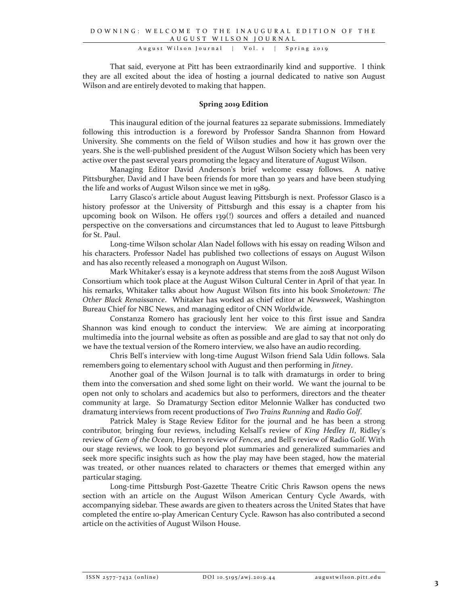That said, everyone at Pitt has been extraordinarily kind and supportive. I think they are all excited about the idea of hosting a journal dedicated to native son August Wilson and are entirely devoted to making that happen.

### **Spring 2019 Edition**

This inaugural edition of the journal features 22 separate submissions. Immediately following this introduction is a foreword by Professor Sandra Shannon from Howard University. She comments on the field of Wilson studies and how it has grown over the years. She is the well-published president of the August Wilson Society which has been very active over the past several years promoting the legacy and literature of August Wilson.

Managing Editor David Anderson's brief welcome essay follows. A native Pittsburgher, David and I have been friends for more than 30 years and have been studying the life and works of August Wilson since we met in 1989.

Larry Glasco's article about August leaving Pittsburgh is next. Professor Glasco is a history professor at the University of Pittsburgh and this essay is a chapter from his upcoming book on Wilson. He offers 139(!) sources and offers a detailed and nuanced perspective on the conversations and circumstances that led to August to leave Pittsburgh for St. Paul.

Long-time Wilson scholar Alan Nadel follows with his essay on reading Wilson and his characters. Professor Nadel has published two collections of essays on August Wilson and has also recently released a monograph on August Wilson.

Mark Whitaker's essay is a keynote address that stems from the 2018 August Wilson Consortium which took place at the August Wilson Cultural Center in April of that year. In his remarks, Whitaker talks about how August Wilson fits into his book *Smoketown: The Other Black Renaissance*. Whitaker has worked as chief editor at *Newsweek*, Washington Bureau Chief for NBC News, and managing editor of CNN Worldwide.

Constanza Romero has graciously lent her voice to this first issue and Sandra Shannon was kind enough to conduct the interview. We are aiming at incorporating multimedia into the journal website as often as possible and are glad to say that not only do we have the textual version of the Romero interview, we also have an audio recording.

Chris Bell's interview with long-time August Wilson friend Sala Udin follows. Sala remembers going to elementary school with August and then performing in *Jitney*.

Another goal of the Wilson Journal is to talk with dramaturgs in order to bring them into the conversation and shed some light on their world. We want the journal to be open not only to scholars and academics but also to performers, directors and the theater community at large. So Dramaturgy Section editor Melonnie Walker has conducted two dramaturg interviews from recent productions of *Two Trains Running* and *Radio Golf*.

Patrick Maley is Stage Review Editor for the journal and he has been a strong contributor, bringing four reviews, including Kelsall's review of *King Hedley II*, Ridley's review of *Gem of the Ocean*, Herron's review of *Fences*, and Bell's review of Radio Golf. With our stage reviews, we look to go beyond plot summaries and generalized summaries and seek more specific insights such as how the play may have been staged, how the material was treated, or other nuances related to characters or themes that emerged within any particular staging.

Long-time Pittsburgh Post-Gazette Theatre Critic Chris Rawson opens the news section with an article on the August Wilson American Century Cycle Awards, with accompanying sidebar. These awards are given to theaters across the United States that have completed the entire 10-play American Century Cycle. Rawson has also contributed a second article on the activities of August Wilson House.